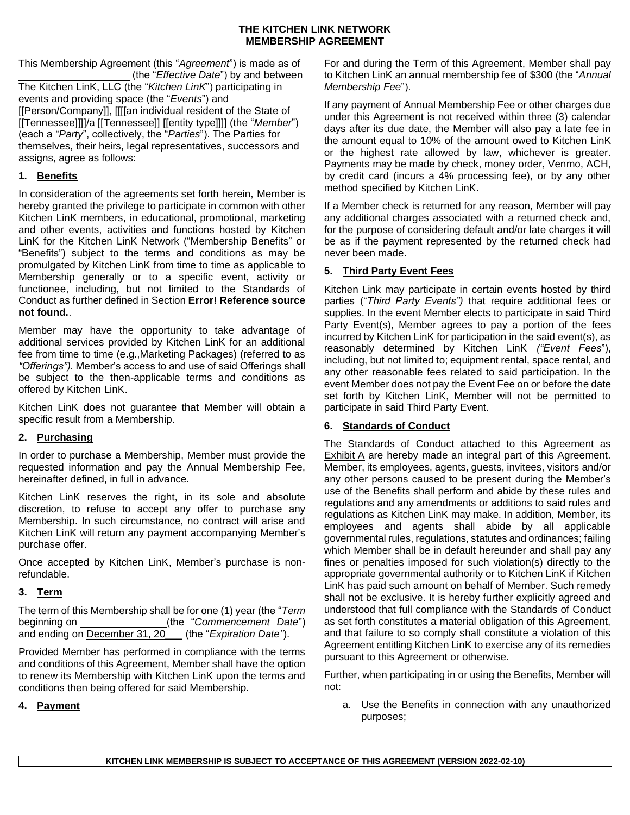This Membership Agreement (this "*Agreement*") is made as of (the "*Effective Date*") by and between The Kitchen LinK, LLC (the "*Kitchen LinK*") participating in events and providing space (the "*Events*") and [[Person/Company]], [[[[an individual resident of the State of [[Tennessee]]]]/a [[Tennessee]] [[entity type]]]] (the "*Member*") (each a "*Party*", collectively, the "*Parties*"). The Parties for themselves, their heirs, legal representatives, successors and assigns, agree as follows:

## **1. Benefits**

In consideration of the agreements set forth herein, Member is hereby granted the privilege to participate in common with other Kitchen LinK members, in educational, promotional, marketing and other events, activities and functions hosted by Kitchen LinK for the Kitchen LinK Network ("Membership Benefits" or "Benefits") subject to the terms and conditions as may be promulgated by Kitchen LinK from time to time as applicable to Membership generally or to a specific event, activity or functionee, including, but not limited to the Standards of Conduct as further defined in Section **Error! Reference source not found.**.

Member may have the opportunity to take advantage of additional services provided by Kitchen LinK for an additional fee from time to time (e.g.,Marketing Packages) (referred to as *"Offerings").* Member's access to and use of said Offerings shall be subject to the then-applicable terms and conditions as offered by Kitchen LinK.

Kitchen LinK does not guarantee that Member will obtain a specific result from a Membership.

## **2. Purchasing**

In order to purchase a Membership, Member must provide the requested information and pay the Annual Membership Fee, hereinafter defined, in full in advance.

Kitchen LinK reserves the right, in its sole and absolute discretion, to refuse to accept any offer to purchase any Membership. In such circumstance, no contract will arise and Kitchen LinK will return any payment accompanying Member's purchase offer.

Once accepted by Kitchen LinK, Member's purchase is nonrefundable.

## **3. Term**

The term of this Membership shall be for one (1) year (the "*Term* beginning on (the "*Commencement Date*") and ending on December 31, 20\_\_\_ (the "*Expiration Date"*).

Provided Member has performed in compliance with the terms and conditions of this Agreement, Member shall have the option to renew its Membership with Kitchen LinK upon the terms and conditions then being offered for said Membership.

**4. Payment**

For and during the Term of this Agreement, Member shall pay to Kitchen LinK an annual membership fee of \$300 (the "*Annual Membership Fee*").

If any payment of Annual Membership Fee or other charges due under this Agreement is not received within three (3) calendar days after its due date, the Member will also pay a late fee in the amount equal to 10% of the amount owed to Kitchen LinK or the highest rate allowed by law, whichever is greater. Payments may be made by check, money order, Venmo, ACH, by credit card (incurs a 4% processing fee), or by any other method specified by Kitchen LinK.

If a Member check is returned for any reason, Member will pay any additional charges associated with a returned check and, for the purpose of considering default and/or late charges it will be as if the payment represented by the returned check had never been made.

# **5. Third Party Event Fees**

Kitchen Link may participate in certain events hosted by third parties ("*Third Party Events")* that require additional fees or supplies. In the event Member elects to participate in said Third Party Event(s), Member agrees to pay a portion of the fees incurred by Kitchen LinK for participation in the said event(s), as reasonably determined by Kitchen LinK *("Event Fees*"), including, but not limited to; equipment rental, space rental, and any other reasonable fees related to said participation. In the event Member does not pay the Event Fee on or before the date set forth by Kitchen LinK, Member will not be permitted to participate in said Third Party Event.

## **6. Standards of Conduct**

The Standards of Conduct attached to this Agreement as Exhibit A are hereby made an integral part of this Agreement. Member, its employees, agents, guests, invitees, visitors and/or any other persons caused to be present during the Member's use of the Benefits shall perform and abide by these rules and regulations and any amendments or additions to said rules and regulations as Kitchen LinK may make. In addition, Member, its employees and agents shall abide by all applicable governmental rules, regulations, statutes and ordinances; failing which Member shall be in default hereunder and shall pay any fines or penalties imposed for such violation(s) directly to the appropriate governmental authority or to Kitchen LinK if Kitchen LinK has paid such amount on behalf of Member. Such remedy shall not be exclusive. It is hereby further explicitly agreed and understood that full compliance with the Standards of Conduct as set forth constitutes a material obligation of this Agreement, and that failure to so comply shall constitute a violation of this Agreement entitling Kitchen LinK to exercise any of its remedies pursuant to this Agreement or otherwise.

Further, when participating in or using the Benefits, Member will not:

a. Use the Benefits in connection with any unauthorized purposes;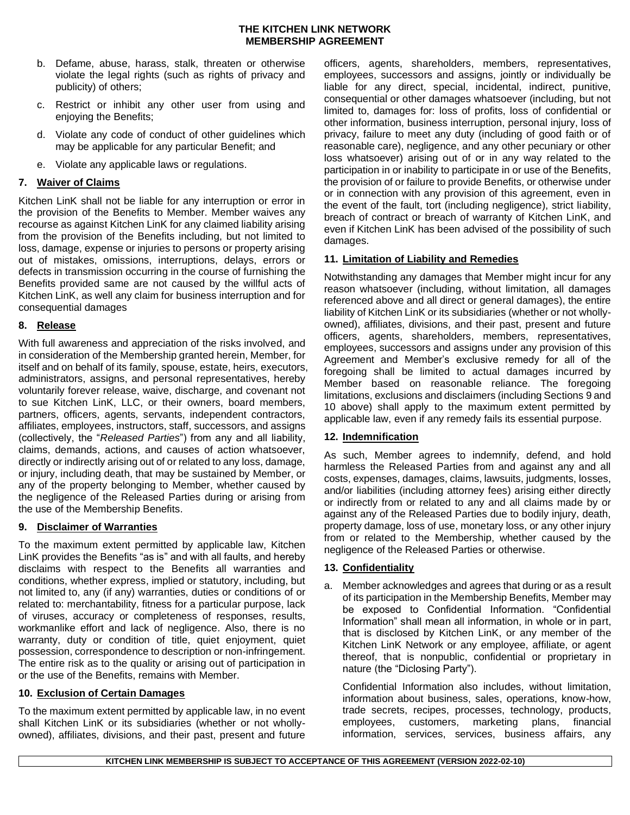- b. Defame, abuse, harass, stalk, threaten or otherwise violate the legal rights (such as rights of privacy and publicity) of others;
- c. Restrict or inhibit any other user from using and enjoying the Benefits;
- d. Violate any code of conduct of other guidelines which may be applicable for any particular Benefit; and
- e. Violate any applicable laws or regulations.

### **7. Waiver of Claims**

Kitchen LinK shall not be liable for any interruption or error in the provision of the Benefits to Member. Member waives any recourse as against Kitchen LinK for any claimed liability arising from the provision of the Benefits including, but not limited to loss, damage, expense or injuries to persons or property arising out of mistakes, omissions, interruptions, delays, errors or defects in transmission occurring in the course of furnishing the Benefits provided same are not caused by the willful acts of Kitchen LinK, as well any claim for business interruption and for consequential damages

### **8. Release**

With full awareness and appreciation of the risks involved, and in consideration of the Membership granted herein, Member, for itself and on behalf of its family, spouse, estate, heirs, executors, administrators, assigns, and personal representatives, hereby voluntarily forever release, waive, discharge, and covenant not to sue Kitchen LinK, LLC, or their owners, board members, partners, officers, agents, servants, independent contractors, affiliates, employees, instructors, staff, successors, and assigns (collectively, the "*Released Parties*") from any and all liability, claims, demands, actions, and causes of action whatsoever, directly or indirectly arising out of or related to any loss, damage, or injury, including death, that may be sustained by Member, or any of the property belonging to Member, whether caused by the negligence of the Released Parties during or arising from the use of the Membership Benefits.

#### <span id="page-1-0"></span>**9. Disclaimer of Warranties**

To the maximum extent permitted by applicable law, Kitchen LinK provides the Benefits "as is" and with all faults, and hereby disclaims with respect to the Benefits all warranties and conditions, whether express, implied or statutory, including, but not limited to, any (if any) warranties, duties or conditions of or related to: merchantability, fitness for a particular purpose, lack of viruses, accuracy or completeness of responses, results, workmanlike effort and lack of negligence. Also, there is no warranty, duty or condition of title, quiet enjoyment, quiet possession, correspondence to description or non-infringement. The entire risk as to the quality or arising out of participation in or the use of the Benefits, remains with Member.

## <span id="page-1-1"></span>**10. Exclusion of Certain Damages**

To the maximum extent permitted by applicable law, in no event shall Kitchen LinK or its subsidiaries (whether or not whollyowned), affiliates, divisions, and their past, present and future

officers, agents, shareholders, members, representatives, employees, successors and assigns, jointly or individually be liable for any direct, special, incidental, indirect, punitive, consequential or other damages whatsoever (including, but not limited to, damages for: loss of profits, loss of confidential or other information, business interruption, personal injury, loss of privacy, failure to meet any duty (including of good faith or of reasonable care), negligence, and any other pecuniary or other loss whatsoever) arising out of or in any way related to the participation in or inability to participate in or use of the Benefits, the provision of or failure to provide Benefits, or otherwise under or in connection with any provision of this agreement, even in the event of the fault, tort (including negligence), strict liability, breach of contract or breach of warranty of Kitchen LinK, and even if Kitchen LinK has been advised of the possibility of such damages.

### **11. Limitation of Liability and Remedies**

Notwithstanding any damages that Member might incur for any reason whatsoever (including, without limitation, all damages referenced above and all direct or general damages), the entire liability of Kitchen LinK or its subsidiaries (whether or not whollyowned), affiliates, divisions, and their past, present and future officers, agents, shareholders, members, representatives, employees, successors and assigns under any provision of this Agreement and Member's exclusive remedy for all of the foregoing shall be limited to actual damages incurred by Member based on reasonable reliance. The foregoing limitations, exclusions and disclaimers (including Section[s 9](#page-1-0)and [10](#page-1-1) above) shall apply to the maximum extent permitted by applicable law, even if any remedy fails its essential purpose.

#### **12. Indemnification**

As such, Member agrees to indemnify, defend, and hold harmless the Released Parties from and against any and all costs, expenses, damages, claims, lawsuits, judgments, losses, and/or liabilities (including attorney fees) arising either directly or indirectly from or related to any and all claims made by or against any of the Released Parties due to bodily injury, death, property damage, loss of use, monetary loss, or any other injury from or related to the Membership, whether caused by the negligence of the Released Parties or otherwise.

#### **13. Confidentiality**

a. Member acknowledges and agrees that during or as a result of its participation in the Membership Benefits, Member may be exposed to Confidential Information. "Confidential Information" shall mean all information, in whole or in part, that is disclosed by Kitchen LinK, or any member of the Kitchen LinK Network or any employee, affiliate, or agent thereof, that is nonpublic, confidential or proprietary in nature (the "Diclosing Party").

Confidential Information also includes, without limitation, information about business, sales, operations, know-how, trade secrets, recipes, processes, technology, products, employees, customers, marketing plans, financial information, services, services, business affairs, any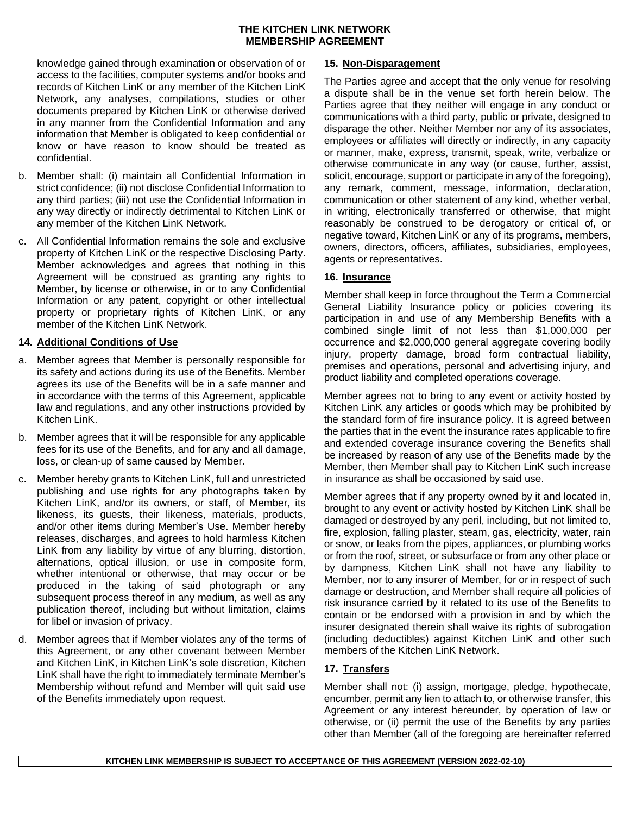knowledge gained through examination or observation of or access to the facilities, computer systems and/or books and records of Kitchen LinK or any member of the Kitchen LinK Network, any analyses, compilations, studies or other documents prepared by Kitchen LinK or otherwise derived in any manner from the Confidential Information and any information that Member is obligated to keep confidential or know or have reason to know should be treated as confidential.

- b. Member shall: (i) maintain all Confidential Information in strict confidence; (ii) not disclose Confidential Information to any third parties; (iii) not use the Confidential Information in any way directly or indirectly detrimental to Kitchen LinK or any member of the Kitchen LinK Network.
- c. All Confidential Information remains the sole and exclusive property of Kitchen LinK or the respective Disclosing Party. Member acknowledges and agrees that nothing in this Agreement will be construed as granting any rights to Member, by license or otherwise, in or to any Confidential Information or any patent, copyright or other intellectual property or proprietary rights of Kitchen LinK, or any member of the Kitchen LinK Network.

### **14. Additional Conditions of Use**

- a. Member agrees that Member is personally responsible for its safety and actions during its use of the Benefits. Member agrees its use of the Benefits will be in a safe manner and in accordance with the terms of this Agreement, applicable law and regulations, and any other instructions provided by Kitchen LinK.
- b. Member agrees that it will be responsible for any applicable fees for its use of the Benefits, and for any and all damage, loss, or clean-up of same caused by Member.
- c. Member hereby grants to Kitchen LinK, full and unrestricted publishing and use rights for any photographs taken by Kitchen LinK, and/or its owners, or staff, of Member, its likeness, its guests, their likeness, materials, products, and/or other items during Member's Use. Member hereby releases, discharges, and agrees to hold harmless Kitchen LinK from any liability by virtue of any blurring, distortion, alternations, optical illusion, or use in composite form, whether intentional or otherwise, that may occur or be produced in the taking of said photograph or any subsequent process thereof in any medium, as well as any publication thereof, including but without limitation, claims for libel or invasion of privacy.
- d. Member agrees that if Member violates any of the terms of this Agreement, or any other covenant between Member and Kitchen LinK, in Kitchen LinK's sole discretion, Kitchen LinK shall have the right to immediately terminate Member's Membership without refund and Member will quit said use of the Benefits immediately upon request.

### **15. Non-Disparagement**

The Parties agree and accept that the only venue for resolving a dispute shall be in the venue set forth herein below. The Parties agree that they neither will engage in any conduct or communications with a third party, public or private, designed to disparage the other. Neither Member nor any of its associates, employees or affiliates will directly or indirectly, in any capacity or manner, make, express, transmit, speak, write, verbalize or otherwise communicate in any way (or cause, further, assist, solicit, encourage, support or participate in any of the foregoing), any remark, comment, message, information, declaration, communication or other statement of any kind, whether verbal, in writing, electronically transferred or otherwise, that might reasonably be construed to be derogatory or critical of, or negative toward, Kitchen LinK or any of its programs, members, owners, directors, officers, affiliates, subsidiaries, employees, agents or representatives.

### **16. Insurance**

Member shall keep in force throughout the Term a Commercial General Liability Insurance policy or policies covering its participation in and use of any Membership Benefits with a combined single limit of not less than \$1,000,000 per occurrence and \$2,000,000 general aggregate covering bodily injury, property damage, broad form contractual liability, premises and operations, personal and advertising injury, and product liability and completed operations coverage.

Member agrees not to bring to any event or activity hosted by Kitchen LinK any articles or goods which may be prohibited by the standard form of fire insurance policy. It is agreed between the parties that in the event the insurance rates applicable to fire and extended coverage insurance covering the Benefits shall be increased by reason of any use of the Benefits made by the Member, then Member shall pay to Kitchen LinK such increase in insurance as shall be occasioned by said use.

Member agrees that if any property owned by it and located in, brought to any event or activity hosted by Kitchen LinK shall be damaged or destroyed by any peril, including, but not limited to, fire, explosion, falling plaster, steam, gas, electricity, water, rain or snow, or leaks from the pipes, appliances, or plumbing works or from the roof, street, or subsurface or from any other place or by dampness, Kitchen LinK shall not have any liability to Member, nor to any insurer of Member, for or in respect of such damage or destruction, and Member shall require all policies of risk insurance carried by it related to its use of the Benefits to contain or be endorsed with a provision in and by which the insurer designated therein shall waive its rights of subrogation (including deductibles) against Kitchen LinK and other such members of the Kitchen LinK Network.

## <span id="page-2-0"></span>**17. Transfers**

Member shall not: (i) assign, mortgage, pledge, hypothecate, encumber, permit any lien to attach to, or otherwise transfer, this Agreement or any interest hereunder, by operation of law or otherwise, or (ii) permit the use of the Benefits by any parties other than Member (all of the foregoing are hereinafter referred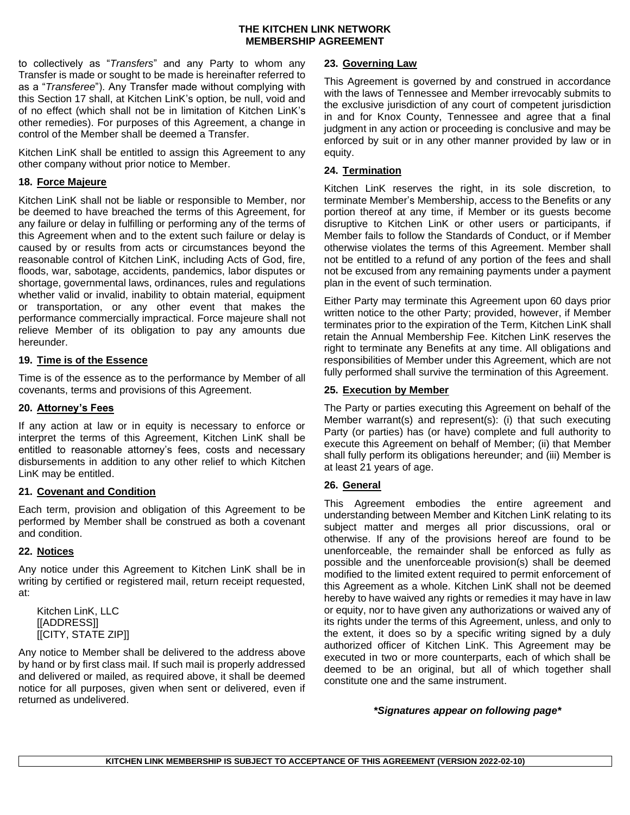to collectively as "*Transfers*" and any Party to whom any Transfer is made or sought to be made is hereinafter referred to as a "*Transferee*"). Any Transfer made without complying with this Section [17](#page-2-0) shall, at Kitchen LinK's option, be null, void and of no effect (which shall not be in limitation of Kitchen LinK's other remedies). For purposes of this Agreement, a change in control of the Member shall be deemed a Transfer.

Kitchen LinK shall be entitled to assign this Agreement to any other company without prior notice to Member.

### **18. Force Majeure**

Kitchen LinK shall not be liable or responsible to Member, nor be deemed to have breached the terms of this Agreement, for any failure or delay in fulfilling or performing any of the terms of this Agreement when and to the extent such failure or delay is caused by or results from acts or circumstances beyond the reasonable control of Kitchen LinK, including Acts of God, fire, floods, war, sabotage, accidents, pandemics, labor disputes or shortage, governmental laws, ordinances, rules and regulations whether valid or invalid, inability to obtain material, equipment or transportation, or any other event that makes the performance commercially impractical. Force majeure shall not relieve Member of its obligation to pay any amounts due hereunder.

## **19. Time is of the Essence**

Time is of the essence as to the performance by Member of all covenants, terms and provisions of this Agreement.

### **20. Attorney's Fees**

If any action at law or in equity is necessary to enforce or interpret the terms of this Agreement, Kitchen LinK shall be entitled to reasonable attorney's fees, costs and necessary disbursements in addition to any other relief to which Kitchen LinK may be entitled.

## **21. Covenant and Condition**

Each term, provision and obligation of this Agreement to be performed by Member shall be construed as both a covenant and condition.

## **22. Notices**

Any notice under this Agreement to Kitchen LinK shall be in writing by certified or registered mail, return receipt requested, at:

Kitchen LinK, LLC [[ADDRESS]] [[CITY, STATE ZIP]]

Any notice to Member shall be delivered to the address above by hand or by first class mail. If such mail is properly addressed and delivered or mailed, as required above, it shall be deemed notice for all purposes, given when sent or delivered, even if returned as undelivered.

# **23. Governing Law**

This Agreement is governed by and construed in accordance with the laws of Tennessee and Member irrevocably submits to the exclusive jurisdiction of any court of competent jurisdiction in and for Knox County, Tennessee and agree that a final judgment in any action or proceeding is conclusive and may be enforced by suit or in any other manner provided by law or in equity.

### **24. Termination**

Kitchen LinK reserves the right, in its sole discretion, to terminate Member's Membership, access to the Benefits or any portion thereof at any time, if Member or its guests become disruptive to Kitchen LinK or other users or participants, if Member fails to follow the Standards of Conduct, or if Member otherwise violates the terms of this Agreement. Member shall not be entitled to a refund of any portion of the fees and shall not be excused from any remaining payments under a payment plan in the event of such termination.

Either Party may terminate this Agreement upon 60 days prior written notice to the other Party; provided, however, if Member terminates prior to the expiration of the Term, Kitchen LinK shall retain the Annual Membership Fee. Kitchen LinK reserves the right to terminate any Benefits at any time. All obligations and responsibilities of Member under this Agreement, which are not fully performed shall survive the termination of this Agreement.

### **25. Execution by Member**

The Party or parties executing this Agreement on behalf of the Member warrant(s) and represent(s): (i) that such executing Party (or parties) has (or have) complete and full authority to execute this Agreement on behalf of Member; (ii) that Member shall fully perform its obligations hereunder; and (iii) Member is at least 21 years of age.

## **26. General**

This Agreement embodies the entire agreement and understanding between Member and Kitchen LinK relating to its subject matter and merges all prior discussions, oral or otherwise. If any of the provisions hereof are found to be unenforceable, the remainder shall be enforced as fully as possible and the unenforceable provision(s) shall be deemed modified to the limited extent required to permit enforcement of this Agreement as a whole. Kitchen LinK shall not be deemed hereby to have waived any rights or remedies it may have in law or equity, nor to have given any authorizations or waived any of its rights under the terms of this Agreement, unless, and only to the extent, it does so by a specific writing signed by a duly authorized officer of Kitchen LinK. This Agreement may be executed in two or more counterparts, each of which shall be deemed to be an original, but all of which together shall constitute one and the same instrument.

*\*Signatures appear on following page\**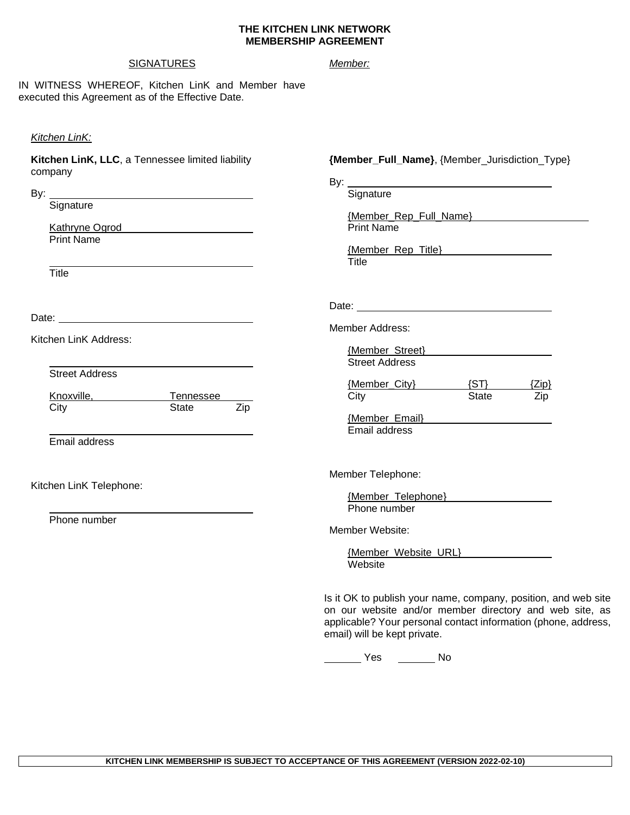#### **SIGNATURES**

#### *Member:*

IN WITNESS WHEREOF, Kitchen LinK and Member have executed this Agreement as of the Effective Date.

#### *Kitchen LinK:*

**Kitchen LinK, LLC**, a Tennessee limited liability company

By:

**Signature** 

Kathryne Ogrod Print Name

**Title** 

Date: **Date: Date: Date: Date: Date: Date: Date: Date: Date: Date: Date: Date: Date: Date: Date: Date: Date: Date: Date: Date: Date: Date: Date: Date: Date: Date: Date:**

Kitchen LinK Address:

Street Address

| Knoxville, | Tennessee |     |
|------------|-----------|-----|
| City       | State     | Zip |

Email address

Kitchen LinK Telephone:

Phone number

#### **{Member\_Full\_Name}**, {Member\_Jurisdiction\_Type}

By: **Signature** {Member\_Rep\_Full\_Name} Print Name {Member\_Rep\_Title} **Title** Date: <u>with the contract of the contract of</u> the contract of the contract of the contract of the contract of the contract of the contract of the contract of the contract of the contract of the contract of the contract of t Member Address: {Member\_Street} Street Address {Member\_City} (ST} (Zip}<br>City State Zip City **State** {Member\_Email} Email address

Member Telephone:

{Member\_Telephone} Phone number

Member Website:

{Member\_Website\_URL} Website

Is it OK to publish your name, company, position, and web site on our website and/or member directory and web site, as applicable? Your personal contact information (phone, address, email) will be kept private.

No No Nesternal Contract Contract Contract Contract Contract Contract Contract Contract Contract Contract Contract Contract Contract Contract Contract Contract Contract Contract Contract Contract Contract Contract Contract